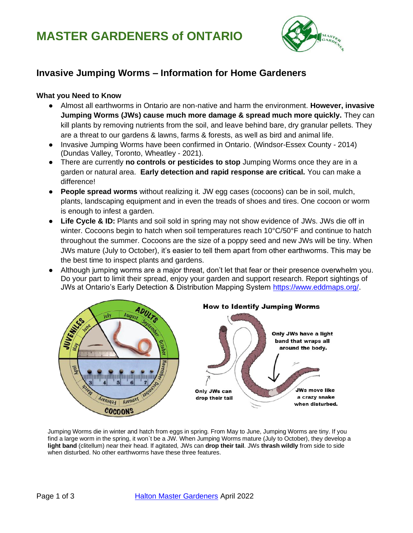

## **Invasive Jumping Worms – Information for Home Gardeners**

#### **What you Need to Know**

- Almost all earthworms in Ontario are non-native and harm the environment. **However, invasive Jumping Worms (JWs) cause much more damage & spread much more quickly.** They can kill plants by removing nutrients from the soil, and leave behind bare, dry granular pellets. They are a threat to our gardens & lawns, farms & forests, as well as bird and animal life.
- Invasive Jumping Worms have been confirmed in Ontario. (Windsor-Essex County 2014) (Dundas Valley, Toronto, Wheatley - 2021).
- There are currently **no controls or pesticides to stop** Jumping Worms once they are in a garden or natural area. **Early detection and rapid response are critical.** You can make a difference!
- **People spread worms** without realizing it. JW egg cases (cocoons) can be in soil, mulch, plants, landscaping equipment and in even the treads of shoes and tires. One cocoon or worm is enough to infest a garden.
- **Life Cycle & ID:** Plants and soil sold in spring may not show evidence of JWs. JWs die off in winter. Cocoons begin to hatch when soil temperatures reach 10°C/50°F and continue to hatch throughout the summer. Cocoons are the size of a poppy seed and new JWs will be tiny. When JWs mature (July to October), it's easier to tell them apart from other earthworms. This may be the best time to inspect plants and gardens.
- Although jumping worms are a major threat, don't let that fear or their presence overwhelm you. Do your part to limit their spread, enjoy your garden and support research. Report sightings of JWs at Ontario's Early Detection & Distribution Mapping System [https://www.eddmaps.org/.](https://www.eddmaps.org/)



Jumping Worms die in winter and hatch from eggs in spring. From May to June, Jumping Worms are tiny. If you find a large worm in the spring, it won`t be a JW. When Jumping Worms mature (July to October), they develop a **light band** (clitellum) near their head. If agitated, JWs can **drop their tail**. JWs **thrash wildly** from side to side when disturbed. No other earthworms have these three features.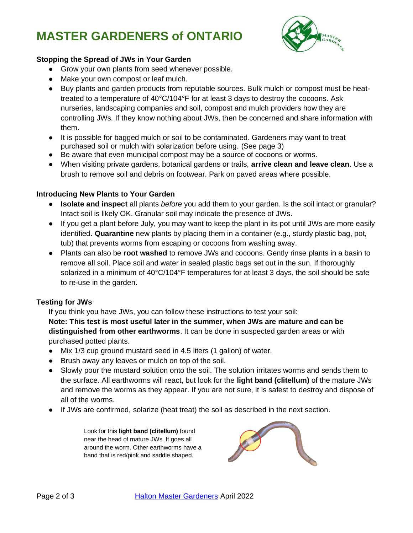# **MASTER GARDENERS of ONTARIO**



#### **Stopping the Spread of JWs in Your Garden**

- Grow your own plants from seed whenever possible.
- Make your own compost or leaf mulch.
- Buy plants and garden products from reputable sources. Bulk mulch or compost must be heattreated to a temperature of 40°C/104°F for at least 3 days to destroy the cocoons. Ask nurseries, landscaping companies and soil, compost and mulch providers how they are controlling JWs. If they know nothing about JWs, then be concerned and share information with them.
- It is possible for bagged mulch or soil to be contaminated. Gardeners may want to treat purchased soil or mulch with solarization before using. (See page 3)
- Be aware that even municipal compost may be a source of cocoons or worms.
- When visiting private gardens, botanical gardens or trails, **arrive clean and leave clean**. Use a brush to remove soil and debris on footwear. Park on paved areas where possible.

#### **Introducing New Plants to Your Garden**

- **Isolate and inspect** all plants *before* you add them to your garden. Is the soil intact or granular? Intact soil is likely OK. Granular soil may indicate the presence of JWs.
- If you get a plant before July, you may want to keep the plant in its pot until JWs are more easily identified. **Quarantine** new plants by placing them in a container (e.g., sturdy plastic bag, pot, tub) that prevents worms from escaping or cocoons from washing away.
- Plants can also be **root washed** to remove JWs and cocoons. Gently rinse plants in a basin to remove all soil. Place soil and water in sealed plastic bags set out in the sun. If thoroughly solarized in a minimum of 40°C/104°F temperatures for at least 3 days, the soil should be safe to re-use in the garden.

#### **Testing for JWs**

If you think you have JWs, you can follow these instructions to test your soil:

**Note: This test is most useful later in the summer, when JWs are mature and can be distinguished from other earthworms**. It can be done in suspected garden areas or with purchased potted plants.

- Mix 1/3 cup ground mustard seed in 4.5 liters (1 gallon) of water.
- Brush away any leaves or mulch on top of the soil.
- Slowly pour the mustard solution onto the soil. The solution irritates worms and sends them to the surface. All earthworms will react, but look for the **light band (clitellum)** of the mature JWs and remove the worms as they appear. If you are not sure, it is safest to destroy and dispose of all of the worms.
- If JWs are confirmed, solarize (heat treat) the soil as described in the next section.

Look for this **light band (clitellum)** found near the head of mature JWs. It goes all around the worm. Other earthworms have a band that is red/pink and saddle shaped.